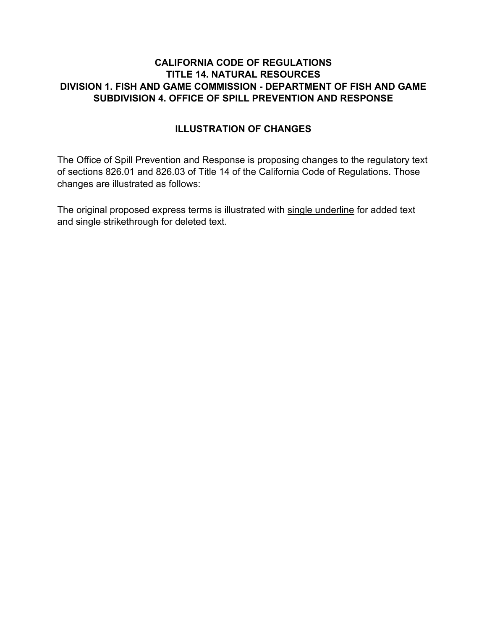#### **CALIFORNIA CODE OF REGULATIONS TITLE 14. NATURAL RESOURCES DIVISION 1. FISH AND GAME COMMISSION - DEPARTMENT OF FISH AND GAME SUBDIVISION 4. OFFICE OF SPILL PREVENTION AND RESPONSE**

### **ILLUSTRATION OF CHANGES**

The Office of Spill Prevention and Response is proposing changes to the regulatory text of sections 826.01 and 826.03 of Title 14 of the California Code of Regulations. Those changes are illustrated as follows:

The original proposed express terms is illustrated with single underline for added text and single strikethrough for deleted text.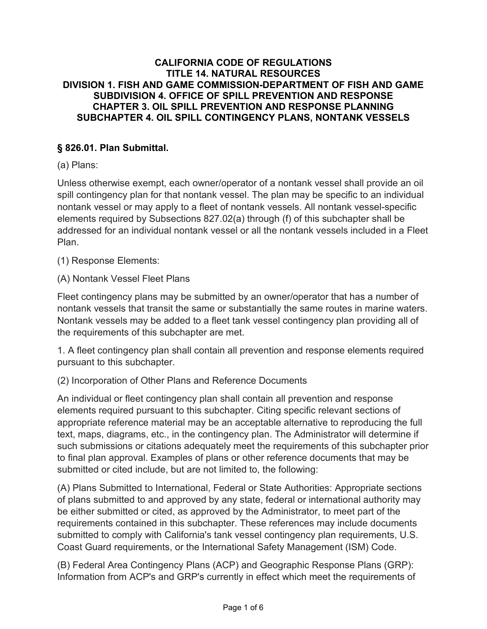#### **CALIFORNIA CODE OF REGULATIONS TITLE 14. NATURAL RESOURCES DIVISION 1. FISH AND GAME COMMISSION-DEPARTMENT OF FISH AND GAME SUBDIVISION 4. OFFICE OF SPILL PREVENTION AND RESPONSE CHAPTER 3. OIL SPILL PREVENTION AND RESPONSE PLANNING SUBCHAPTER 4. OIL SPILL CONTINGENCY PLANS, NONTANK VESSELS**

### **§ 826.01. Plan Submittal.**

(a) Plans:

Unless otherwise exempt, each owner/operator of a nontank vessel shall provide an oil spill contingency plan for that nontank vessel. The plan may be specific to an individual nontank vessel or may apply to a fleet of nontank vessels. All nontank vessel-specific elements required by Subsections 827.02(a) through (f) of this subchapter shall be addressed for an individual nontank vessel or all the nontank vessels included in a Fleet Plan.

(1) Response Elements:

(A) Nontank Vessel Fleet Plans

Fleet contingency plans may be submitted by an owner/operator that has a number of nontank vessels that transit the same or substantially the same routes in marine waters. Nontank vessels may be added to a fleet tank vessel contingency plan providing all of the requirements of this subchapter are met.

1. A fleet contingency plan shall contain all prevention and response elements required pursuant to this subchapter.

(2) Incorporation of Other Plans and Reference Documents

An individual or fleet contingency plan shall contain all prevention and response elements required pursuant to this subchapter. Citing specific relevant sections of appropriate reference material may be an acceptable alternative to reproducing the full text, maps, diagrams, etc., in the contingency plan. The Administrator will determine if such submissions or citations adequately meet the requirements of this subchapter prior to final plan approval. Examples of plans or other reference documents that may be submitted or cited include, but are not limited to, the following:

(A) Plans Submitted to International, Federal or State Authorities: Appropriate sections of plans submitted to and approved by any state, federal or international authority may be either submitted or cited, as approved by the Administrator, to meet part of the requirements contained in this subchapter. These references may include documents submitted to comply with California's tank vessel contingency plan requirements, U.S. Coast Guard requirements, or the International Safety Management (ISM) Code.

(B) Federal Area Contingency Plans (ACP) and Geographic Response Plans (GRP): Information from ACP's and GRP's currently in effect which meet the requirements of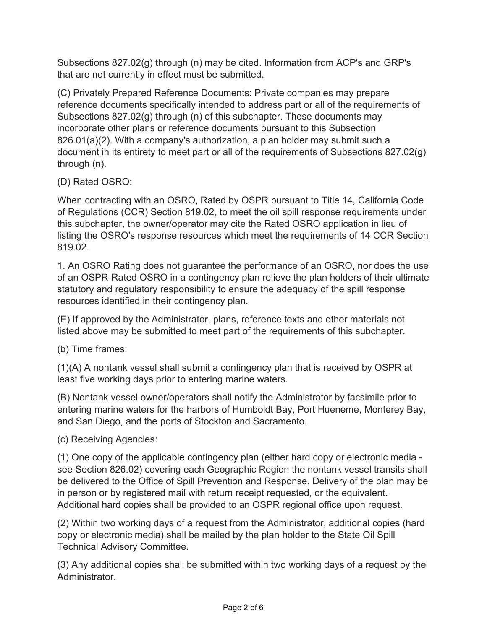Subsections 827.02(g) through (n) may be cited. Information from ACP's and GRP's that are not currently in effect must be submitted.

(C) Privately Prepared Reference Documents: Private companies may prepare reference documents specifically intended to address part or all of the requirements of Subsections 827.02(g) through (n) of this subchapter. These documents may incorporate other plans or reference documents pursuant to this Subsection 826.01(a)(2). With a company's authorization, a plan holder may submit such a document in its entirety to meet part or all of the requirements of Subsections 827.02(g) through (n).

# (D) Rated OSRO:

When contracting with an OSRO, Rated by OSPR pursuant to Title 14, California Code of Regulations (CCR) Section 819.02, to meet the oil spill response requirements under this subchapter, the owner/operator may cite the Rated OSRO application in lieu of listing the OSRO's response resources which meet the requirements of 14 CCR Section 819.02.

1. An OSRO Rating does not guarantee the performance of an OSRO, nor does the use of an OSPR-Rated OSRO in a contingency plan relieve the plan holders of their ultimate statutory and regulatory responsibility to ensure the adequacy of the spill response resources identified in their contingency plan.

(E) If approved by the Administrator, plans, reference texts and other materials not listed above may be submitted to meet part of the requirements of this subchapter.

(b) Time frames:

(1)(A) A nontank vessel shall submit a contingency plan that is received by OSPR at least five working days prior to entering marine waters.

(B) Nontank vessel owner/operators shall notify the Administrator by facsimile prior to entering marine waters for the harbors of Humboldt Bay, Port Hueneme, Monterey Bay, and San Diego, and the ports of Stockton and Sacramento.

(c) Receiving Agencies:

(1) One copy of the applicable contingency plan (either hard copy or electronic media see Section 826.02) covering each Geographic Region the nontank vessel transits shall be delivered to the Office of Spill Prevention and Response. Delivery of the plan may be in person or by registered mail with return receipt requested, or the equivalent. Additional hard copies shall be provided to an OSPR regional office upon request.

(2) Within two working days of a request from the Administrator, additional copies (hard copy or electronic media) shall be mailed by the plan holder to the State Oil Spill Technical Advisory Committee.

(3) Any additional copies shall be submitted within two working days of a request by the Administrator.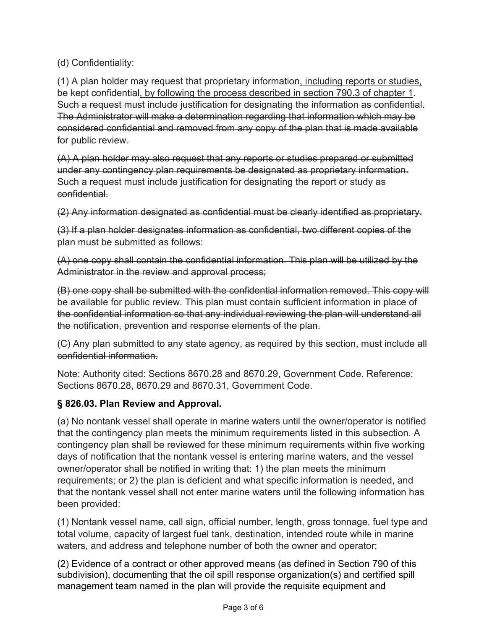(d) Confidentiality:

(1) A plan holder may request that proprietary information, including reports or studies, be kept confidential, by following the process described in section 790.3 of chapter 1. Such a request must include justification for designating the information as confidential. The Administrator will make a determination regarding that information which may be considered confidential and removed from any copy of the plan that is made available for public review.

(A) A plan holder may also request that any reports or studies prepared or submitted under any contingency plan requirements be designated as proprietary information. Such a request must include justification for designating the report or study as confidential.

(2) Any information designated as confidential must be clearly identified as proprietary.

(3) If a plan holder designates information as confidential, two different copies of the plan must be submitted as follows:

(A) one copy shall contain the confidential information. This plan will be utilized by the Administrator in the review and approval process;

(B) one copy shall be submitted with the confidential information removed. This copy will be available for public review. This plan must contain sufficient information in place of the confidential information so that any individual reviewing the plan will understand all the notification, prevention and response elements of the plan.

(C) Any plan submitted to any state agency, as required by this section, must include all confidential information.

Note: Authority cited: Sections 8670.28 and 8670.29, Government Code. Reference: Sections 8670.28, 8670.29 and 8670.31, Government Code.

## **§ 826.03. Plan Review and Approval***.*

(a) No nontank vessel shall operate in marine waters until the owner/operator is notified that the contingency plan meets the minimum requirements listed in this subsection. A contingency plan shall be reviewed for these minimum requirements within five working days of notification that the nontank vessel is entering marine waters, and the vessel owner/operator shall be notified in writing that: 1) the plan meets the minimum requirements; or 2) the plan is deficient and what specific information is needed, and that the nontank vessel shall not enter marine waters until the following information has been provided:

(1) Nontank vessel name, call sign, official number, length, gross tonnage, fuel type and total volume, capacity of largest fuel tank, destination, intended route while in marine waters, and address and telephone number of both the owner and operator;

(2) Evidence of a contract or other approved means (as defined in Section 790 of this subdivision), documenting that the oil spill response organization(s) and certified spill management team named in the plan will provide the requisite equipment and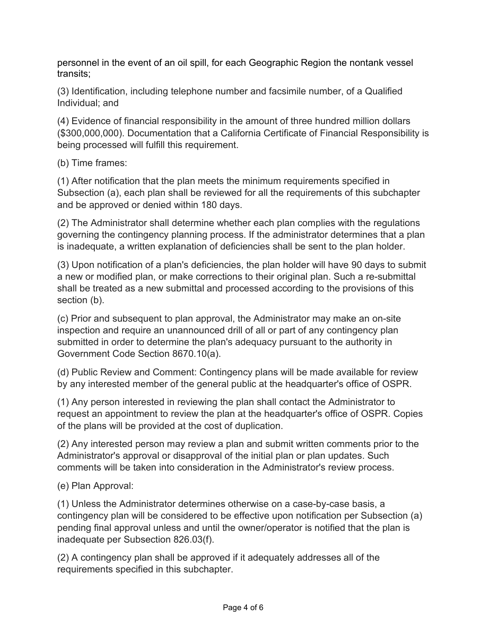personnel in the event of an oil spill, for each Geographic Region the nontank vessel transits;

(3) Identification, including telephone number and facsimile number, of a Qualified Individual; and

(4) Evidence of financial responsibility in the amount of three hundred million dollars (\$300,000,000). Documentation that a California Certificate of Financial Responsibility is being processed will fulfill this requirement.

(b) Time frames:

(1) After notification that the plan meets the minimum requirements specified in Subsection (a), each plan shall be reviewed for all the requirements of this subchapter and be approved or denied within 180 days.

(2) The Administrator shall determine whether each plan complies with the regulations governing the contingency planning process. If the administrator determines that a plan is inadequate, a written explanation of deficiencies shall be sent to the plan holder.

(3) Upon notification of a plan's deficiencies, the plan holder will have 90 days to submit a new or modified plan, or make corrections to their original plan. Such a re-submittal shall be treated as a new submittal and processed according to the provisions of this section (b).

(c) Prior and subsequent to plan approval, the Administrator may make an on-site inspection and require an unannounced drill of all or part of any contingency plan submitted in order to determine the plan's adequacy pursuant to the authority in Government Code Section 8670.10(a).

(d) Public Review and Comment: Contingency plans will be made available for review by any interested member of the general public at the headquarter's office of OSPR.

(1) Any person interested in reviewing the plan shall contact the Administrator to request an appointment to review the plan at the headquarter's office of OSPR. Copies of the plans will be provided at the cost of duplication.

(2) Any interested person may review a plan and submit written comments prior to the Administrator's approval or disapproval of the initial plan or plan updates. Such comments will be taken into consideration in the Administrator's review process.

(e) Plan Approval:

(1) Unless the Administrator determines otherwise on a case-by-case basis, a contingency plan will be considered to be effective upon notification per Subsection (a) pending final approval unless and until the owner/operator is notified that the plan is inadequate per Subsection 826.03(f).

(2) A contingency plan shall be approved if it adequately addresses all of the requirements specified in this subchapter.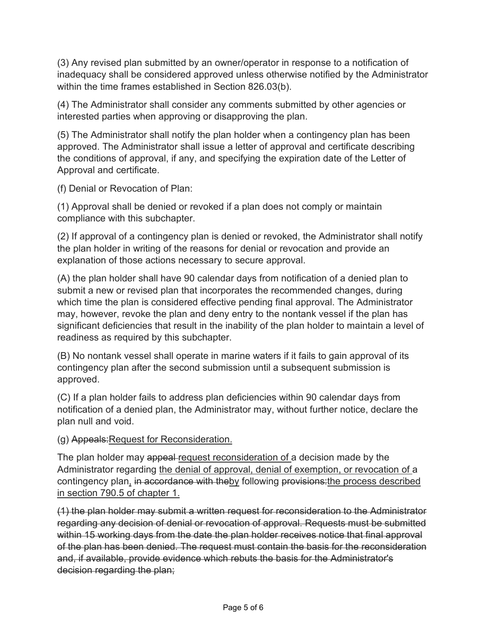(3) Any revised plan submitted by an owner/operator in response to a notification of inadequacy shall be considered approved unless otherwise notified by the Administrator within the time frames established in Section 826.03(b).

(4) The Administrator shall consider any comments submitted by other agencies or interested parties when approving or disapproving the plan.

(5) The Administrator shall notify the plan holder when a contingency plan has been approved. The Administrator shall issue a letter of approval and certificate describing the conditions of approval, if any, and specifying the expiration date of the Letter of Approval and certificate.

(f) Denial or Revocation of Plan:

(1) Approval shall be denied or revoked if a plan does not comply or maintain compliance with this subchapter.

(2) If approval of a contingency plan is denied or revoked, the Administrator shall notify the plan holder in writing of the reasons for denial or revocation and provide an explanation of those actions necessary to secure approval.

(A) the plan holder shall have 90 calendar days from notification of a denied plan to submit a new or revised plan that incorporates the recommended changes, during which time the plan is considered effective pending final approval. The Administrator may, however, revoke the plan and deny entry to the nontank vessel if the plan has significant deficiencies that result in the inability of the plan holder to maintain a level of readiness as required by this subchapter.

(B) No nontank vessel shall operate in marine waters if it fails to gain approval of its contingency plan after the second submission until a subsequent submission is approved.

(C) If a plan holder fails to address plan deficiencies within 90 calendar days from notification of a denied plan, the Administrator may, without further notice, declare the plan null and void.

(g) Appeals:Request for Reconsideration.

The plan holder may appeal request reconsideration of a decision made by the Administrator regarding the denial of approval, denial of exemption, or revocation of a contingency plan, in accordance with theby following provisions: the process described in section 790.5 of chapter 1.

(1) the plan holder may submit a written request for reconsideration to the Administrator regarding any decision of denial or revocation of approval. Requests must be submitted within 15 working days from the date the plan holder receives notice that final approval of the plan has been denied. The request must contain the basis for the reconsideration and, if available, provide evidence which rebuts the basis for the Administrator's decision regarding the plan;